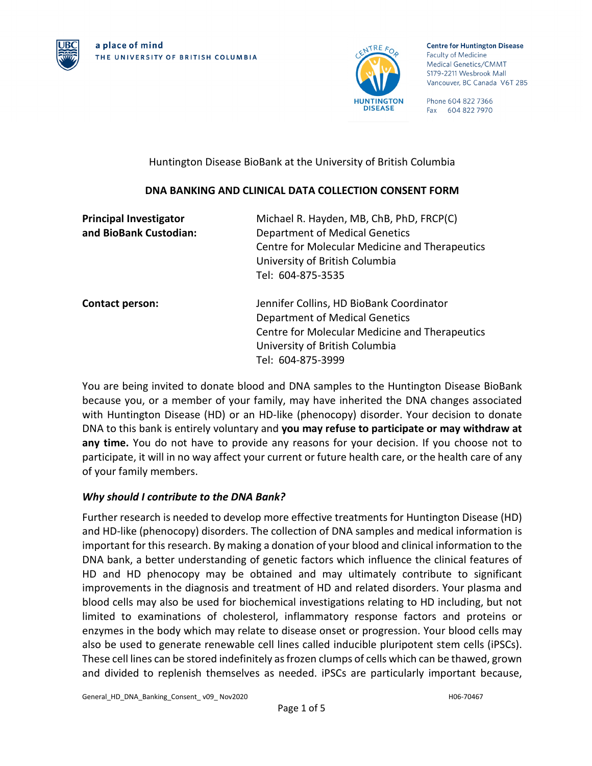



**Centre for Huntington Disease Faculty of Medicine** Medical Genetics/CMMT S179-2211 Wesbrook Mall Vancouver, BC Canada V6T 2B5

Phone 604 822 7366 Fax 604 822 7970

## Huntington Disease BioBank at the University of British Columbia

# **DNA BANKING AND CLINICAL DATA COLLECTION CONSENT FORM**

| <b>Principal Investigator</b> | Michael R. Hayden, MB, ChB, PhD, FRCP(C)       |  |  |
|-------------------------------|------------------------------------------------|--|--|
| and BioBank Custodian:        | Department of Medical Genetics                 |  |  |
|                               | Centre for Molecular Medicine and Therapeutics |  |  |
|                               | University of British Columbia                 |  |  |
|                               | Tel: 604-875-3535                              |  |  |
| <b>Contact person:</b>        | Jennifer Collins, HD BioBank Coordinator       |  |  |
|                               | Department of Medical Genetics                 |  |  |
|                               | Centre for Molecular Medicine and Therapeutics |  |  |
|                               | University of British Columbia                 |  |  |
|                               | Tel: 604-875-3999                              |  |  |

You are being invited to donate blood and DNA samples to the Huntington Disease BioBank because you, or a member of your family, may have inherited the DNA changes associated with Huntington Disease (HD) or an HD-like (phenocopy) disorder. Your decision to donate DNA to this bank is entirely voluntary and **you may refuse to participate or may withdraw at any time.** You do not have to provide any reasons for your decision. If you choose not to participate, it will in no way affect your current or future health care, or the health care of any of your family members.

# *Why should I contribute to the DNA Bank?*

Further research is needed to develop more effective treatments for Huntington Disease (HD) and HD-like (phenocopy) disorders. The collection of DNA samples and medical information is important for this research. By making a donation of your blood and clinical information to the DNA bank, a better understanding of genetic factors which influence the clinical features of HD and HD phenocopy may be obtained and may ultimately contribute to significant improvements in the diagnosis and treatment of HD and related disorders. Your plasma and blood cells may also be used for biochemical investigations relating to HD including, but not limited to examinations of cholesterol, inflammatory response factors and proteins or enzymes in the body which may relate to disease onset or progression. Your blood cells may also be used to generate renewable cell lines called inducible pluripotent stem cells (iPSCs). These cell lines can be stored indefinitely as frozen clumps of cells which can be thawed, grown and divided to replenish themselves as needed. iPSCs are particularly important because,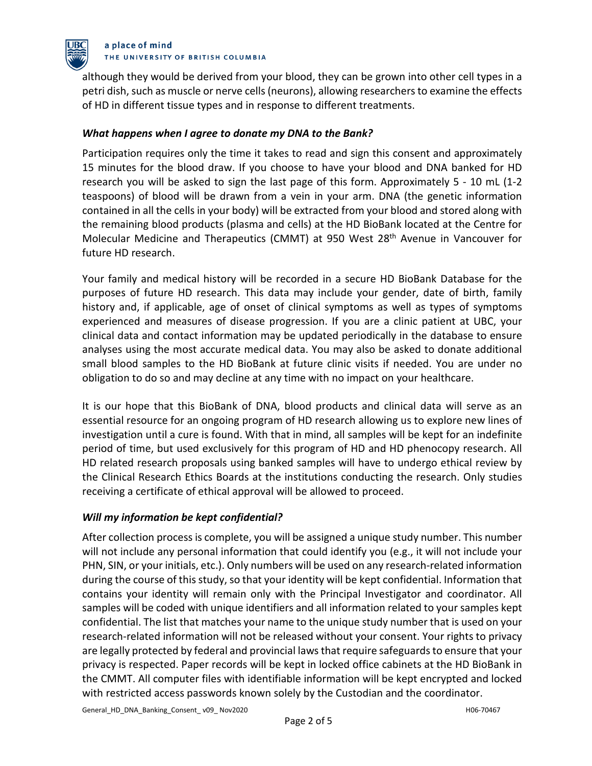

#### a place of mind THE UNIVERSITY OF BRITISH COLUMBIA

although they would be derived from your blood, they can be grown into other cell types in a petri dish, such as muscle or nerve cells (neurons), allowing researchers to examine the effects of HD in different tissue types and in response to different treatments.

## *What happens when I agree to donate my DNA to the Bank?*

Participation requires only the time it takes to read and sign this consent and approximately 15 minutes for the blood draw. If you choose to have your blood and DNA banked for HD research you will be asked to sign the last page of this form. Approximately 5 - 10 mL (1-2 teaspoons) of blood will be drawn from a vein in your arm. DNA (the genetic information contained in all the cells in your body) will be extracted from your blood and stored along with the remaining blood products (plasma and cells) at the HD BioBank located at the Centre for Molecular Medicine and Therapeutics (CMMT) at 950 West 28th Avenue in Vancouver for future HD research.

Your family and medical history will be recorded in a secure HD BioBank Database for the purposes of future HD research. This data may include your gender, date of birth, family history and, if applicable, age of onset of clinical symptoms as well as types of symptoms experienced and measures of disease progression. If you are a clinic patient at UBC, your clinical data and contact information may be updated periodically in the database to ensure analyses using the most accurate medical data. You may also be asked to donate additional small blood samples to the HD BioBank at future clinic visits if needed. You are under no obligation to do so and may decline at any time with no impact on your healthcare.

It is our hope that this BioBank of DNA, blood products and clinical data will serve as an essential resource for an ongoing program of HD research allowing us to explore new lines of investigation until a cure is found. With that in mind, all samples will be kept for an indefinite period of time, but used exclusively for this program of HD and HD phenocopy research. All HD related research proposals using banked samples will have to undergo ethical review by the Clinical Research Ethics Boards at the institutions conducting the research. Only studies receiving a certificate of ethical approval will be allowed to proceed.

### *Will my information be kept confidential?*

After collection process is complete, you will be assigned a unique study number. This number will not include any personal information that could identify you (e.g., it will not include your PHN, SIN, or your initials, etc.). Only numbers will be used on any research-related information during the course of this study, so that your identity will be kept confidential. Information that contains your identity will remain only with the Principal Investigator and coordinator. All samples will be coded with unique identifiers and all information related to your samples kept confidential. The list that matches your name to the unique study number that is used on your research-related information will not be released without your consent. Your rights to privacy are legally protected by federal and provincial laws that require safeguards to ensure that your privacy is respected. Paper records will be kept in locked office cabinets at the HD BioBank in the CMMT. All computer files with identifiable information will be kept encrypted and locked with restricted access passwords known solely by the Custodian and the coordinator.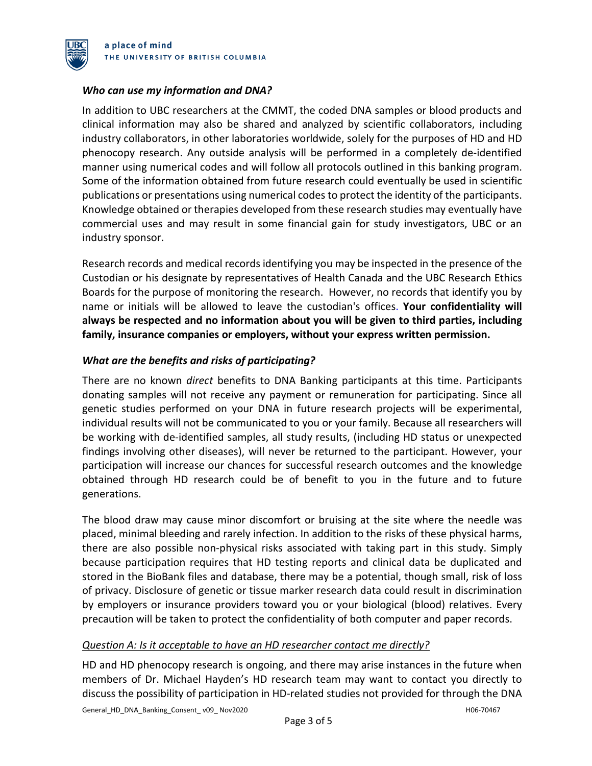

### *Who can use my information and DNA?*

In addition to UBC researchers at the CMMT, the coded DNA samples or blood products and clinical information may also be shared and analyzed by scientific collaborators, including industry collaborators, in other laboratories worldwide, solely for the purposes of HD and HD phenocopy research. Any outside analysis will be performed in a completely de-identified manner using numerical codes and will follow all protocols outlined in this banking program. Some of the information obtained from future research could eventually be used in scientific publications or presentations using numerical codes to protect the identity of the participants. Knowledge obtained or therapies developed from these research studies may eventually have commercial uses and may result in some financial gain for study investigators, UBC or an industry sponsor.

Research records and medical records identifying you may be inspected in the presence of the Custodian or his designate by representatives of Health Canada and the UBC Research Ethics Boards for the purpose of monitoring the research. However, no records that identify you by name or initials will be allowed to leave the custodian's offices. **Your confidentiality will always be respected and no information about you will be given to third parties, including family, insurance companies or employers, without your express written permission.**

### *What are the benefits and risks of participating?*

There are no known *direct* benefits to DNA Banking participants at this time. Participants donating samples will not receive any payment or remuneration for participating. Since all genetic studies performed on your DNA in future research projects will be experimental, individual results will not be communicated to you or your family. Because all researchers will be working with de-identified samples, all study results, (including HD status or unexpected findings involving other diseases), will never be returned to the participant. However, your participation will increase our chances for successful research outcomes and the knowledge obtained through HD research could be of benefit to you in the future and to future generations.

The blood draw may cause minor discomfort or bruising at the site where the needle was placed, minimal bleeding and rarely infection. In addition to the risks of these physical harms, there are also possible non-physical risks associated with taking part in this study. Simply because participation requires that HD testing reports and clinical data be duplicated and stored in the BioBank files and database, there may be a potential, though small, risk of loss of privacy. Disclosure of genetic or tissue marker research data could result in discrimination by employers or insurance providers toward you or your biological (blood) relatives. Every precaution will be taken to protect the confidentiality of both computer and paper records.

### *Question A: Is it acceptable to have an HD researcher contact me directly?*

HD and HD phenocopy research is ongoing, and there may arise instances in the future when members of Dr. Michael Hayden's HD research team may want to contact you directly to discuss the possibility of participation in HD-related studies not provided for through the DNA

General\_HD\_DNA\_Banking\_Consent\_ v09\_ Nov2020 H06-70467 H06-70467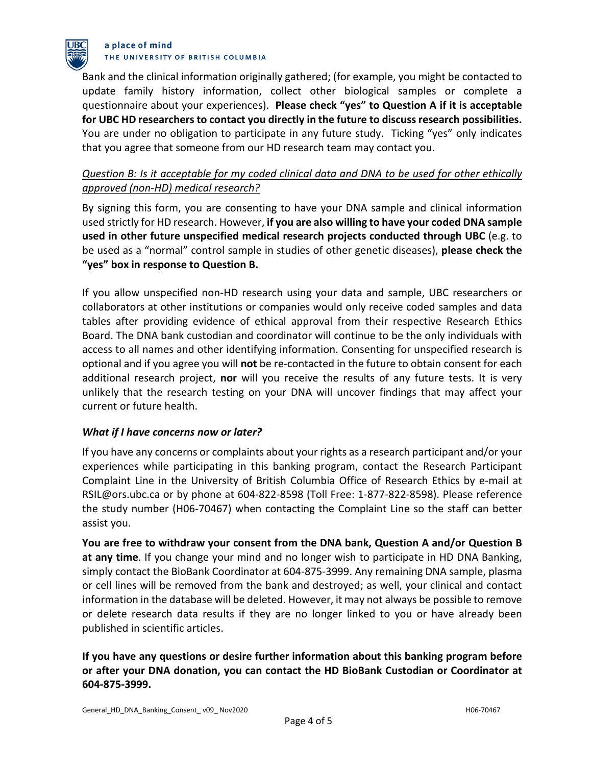

#### a place of mind THE UNIVERSITY OF BRITISH COLUMBIA

Bank and the clinical information originally gathered; (for example, you might be contacted to update family history information, collect other biological samples or complete a questionnaire about your experiences). **Please check "yes" to Question A if it is acceptable for UBC HD researchers to contact you directly in the future to discuss research possibilities.** You are under no obligation to participate in any future study. Ticking "yes" only indicates that you agree that someone from our HD research team may contact you.

# *Question B: Is it acceptable for my coded clinical data and DNA to be used for other ethically approved (non-HD) medical research?*

By signing this form, you are consenting to have your DNA sample and clinical information used strictly for HD research. However, **if you are also willing to have your coded DNA sample used in other future unspecified medical research projects conducted through UBC** (e.g. to be used as a "normal" control sample in studies of other genetic diseases), **please check the "yes" box in response to Question B.**

If you allow unspecified non-HD research using your data and sample, UBC researchers or collaborators at other institutions or companies would only receive coded samples and data tables after providing evidence of ethical approval from their respective Research Ethics Board. The DNA bank custodian and coordinator will continue to be the only individuals with access to all names and other identifying information. Consenting for unspecified research is optional and if you agree you will **not** be re-contacted in the future to obtain consent for each additional research project, **nor** will you receive the results of any future tests. It is very unlikely that the research testing on your DNA will uncover findings that may affect your current or future health.

### *What if I have concerns now or later?*

If you have any concerns or complaints about your rights as a research participant and/or your experiences while participating in this banking program, contact the Research Participant Complaint Line in the University of British Columbia Office of Research Ethics by e-mail at RSIL@ors.ubc.ca or by phone at 604-822-8598 (Toll Free: 1-877-822-8598). Please reference the study number (H06-70467) when contacting the Complaint Line so the staff can better assist you.

**You are free to withdraw your consent from the DNA bank, Question A and/or Question B at any time**. If you change your mind and no longer wish to participate in HD DNA Banking, simply contact the BioBank Coordinator at 604-875-3999. Any remaining DNA sample, plasma or cell lines will be removed from the bank and destroyed; as well, your clinical and contact information in the database will be deleted. However, it may not always be possible to remove or delete research data results if they are no longer linked to you or have already been published in scientific articles.

# **If you have any questions or desire further information about this banking program before or after your DNA donation, you can contact the HD BioBank Custodian or Coordinator at 604-875-3999.**